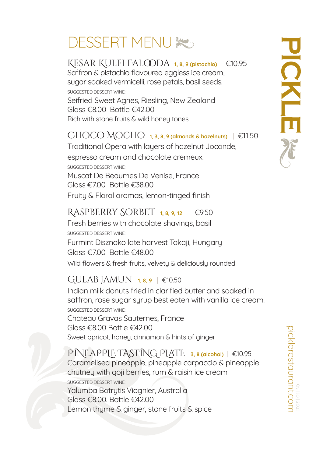# **DESSERT MENUX**

### Kesar Kulfi Falooda **1, 8, 9 (pistachio)** | €10.95

Saffron & pistachio flavoured eggless ice cream, sugar soaked vermicelli, rose petals, basil seeds. SUGGESTED DESSERT WINE: Seifried Sweet Agnes, Riesling, New Zealand Glass €8.00 Bottle €42.00 Rich with stone fruits & wild honey tones

#### $CHOCO MOCHO$  1, 3, 8, 9 (almonds & hazelnuts)  $|$  €11.50

Traditional Opera with layers of hazelnut Joconde, espresso cream and chocolate cremeux. SUGGESTED DESSERT WINE: Muscat De Beaumes De Venise, France Glass €7.00 Bottle €38.00 Fruity & Floral aromas, lemon-tinged finish

#### Raspberry Sorbet **1, 8, 9, 12** | €9.50

Fresh berries with chocolate shavings, basil SUGGESTED DESSERT WINE: Furmint Disznoko late harvest Tokaji, Hungary Glass €7.00 Bottle €48.00 Wild flowers & fresh fruits, velvety & deliciously rounded

### Gulab Jamun **1, 8, 9** | €10.50

Indian milk donuts fried in clarified butter and soaked in saffron, rose sugar syrup best eaten with vanilla ice cream. SUGGESTED DESSERT WINE: Chateau Gravas Sauternes, France Glass €8.00 Bottle €42.00 Sweet apricot, honey, cinnamon & hints of ginger

PINEaPPLE TASTING PLaTE **3, 8 (alcohol)** | €10.95 Caramelised pineapple, pineapple carpaccio & pineapple chutney with goji berries, rum & raisin ice cream SUGGESTED DESSERT WINE: Yalumba Botrytis Viognier, Australia Glass €8.00. Bottle €42.00 Lemon thyme & ginger, stone fruits & spice